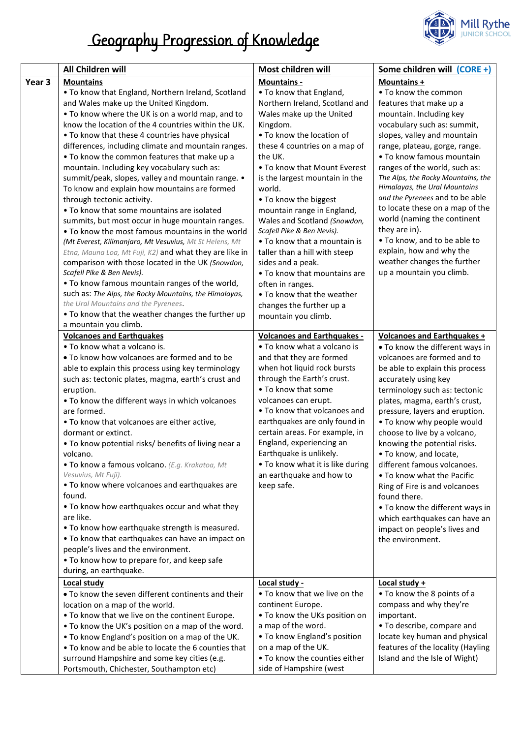

## Geography Progression of Knowledge

|        | <b>All Children will</b>                                                        | Most children will                                | Some children will (CORE +)                             |
|--------|---------------------------------------------------------------------------------|---------------------------------------------------|---------------------------------------------------------|
| Year 3 | <b>Mountains</b>                                                                | Mountains -                                       | Mountains +                                             |
|        | . To know that England, Northern Ireland, Scotland                              | • To know that England,                           | • To know the common                                    |
|        | and Wales make up the United Kingdom.                                           | Northern Ireland, Scotland and                    | features that make up a                                 |
|        | • To know where the UK is on a world map, and to                                | Wales make up the United                          | mountain. Including key                                 |
|        | know the location of the 4 countries within the UK.                             | Kingdom.                                          | vocabulary such as: summit,                             |
|        | • To know that these 4 countries have physical                                  | • To know the location of                         | slopes, valley and mountain                             |
|        | differences, including climate and mountain ranges.                             | these 4 countries on a map of                     | range, plateau, gorge, range.                           |
|        | . To know the common features that make up a                                    | the UK.                                           | • To know famous mountain                               |
|        | mountain. Including key vocabulary such as:                                     | • To know that Mount Everest                      | ranges of the world, such as:                           |
|        | summit/peak, slopes, valley and mountain range. •                               | is the largest mountain in the                    | The Alps, the Rocky Mountains, the                      |
|        | To know and explain how mountains are formed                                    | world.                                            | Himalayas, the Ural Mountains                           |
|        | through tectonic activity.                                                      | • To know the biggest                             | and the Pyrenees and to be able                         |
|        | • To know that some mountains are isolated                                      | mountain range in England,                        | to locate these on a map of the                         |
|        | summits, but most occur in huge mountain ranges.                                | Wales and Scotland (Snowdon,                      | world (naming the continent                             |
|        | . To know the most famous mountains in the world                                | Scafell Pike & Ben Nevis).                        | they are in).                                           |
|        | (Mt Everest, Kilimanjaro, Mt Vesuvius, Mt St Helens, Mt                         | • To know that a mountain is                      | . To know, and to be able to                            |
|        | Etna, Mauna Loa, Mt Fuji, K2) and what they are like in                         | taller than a hill with steep                     | explain, how and why the<br>weather changes the further |
|        | comparison with those located in the UK (Snowdon,<br>Scafell Pike & Ben Nevis). | sides and a peak.<br>• To know that mountains are | up a mountain you climb.                                |
|        | . To know famous mountain ranges of the world,                                  | often in ranges.                                  |                                                         |
|        | such as: The Alps, the Rocky Mountains, the Himalayas,                          | • To know that the weather                        |                                                         |
|        | the Ural Mountains and the Pyrenees.                                            | changes the further up a                          |                                                         |
|        | . To know that the weather changes the further up                               | mountain you climb.                               |                                                         |
|        | a mountain you climb.                                                           |                                                   |                                                         |
|        | <b>Volcanoes and Earthquakes</b>                                                | <b>Volcanoes and Earthquakes -</b>                | <b>Volcanoes and Earthquakes +</b>                      |
|        | • To know what a volcano is.                                                    | • To know what a volcano is                       | • To know the different ways in                         |
|        | . To know how volcanoes are formed and to be                                    | and that they are formed                          | volcanoes are formed and to                             |
|        | able to explain this process using key terminology                              | when hot liquid rock bursts                       | be able to explain this process                         |
|        | such as: tectonic plates, magma, earth's crust and                              | through the Earth's crust.                        | accurately using key                                    |
|        | eruption.                                                                       | • To know that some                               | terminology such as: tectonic                           |
|        | . To know the different ways in which volcanoes                                 | volcanoes can erupt.                              | plates, magma, earth's crust,                           |
|        | are formed.                                                                     | • To know that volcanoes and                      | pressure, layers and eruption.                          |
|        | . To know that volcanoes are either active,                                     | earthquakes are only found in                     | . To know why people would                              |
|        | dormant or extinct.                                                             | certain areas. For example, in                    | choose to live by a volcano,                            |
|        | . To know potential risks/ benefits of living near a                            | England, experiencing an                          | knowing the potential risks.                            |
|        | volcano.                                                                        | Earthquake is unlikely.                           | . To know, and locate,                                  |
|        | · To know a famous volcano. (E.g. Krakatoa, Mt                                  | . To know what it is like during                  | different famous volcanoes.                             |
|        | Vesuvius, Mt Fuji).<br>. To know where volcanoes and earthquakes are            | an earthquake and how to                          | . To know what the Pacific                              |
|        | found.                                                                          | keep safe.                                        | Ring of Fire is and volcanoes<br>found there.           |
|        | • To know how earthquakes occur and what they                                   |                                                   | • To know the different ways in                         |
|        | are like.                                                                       |                                                   | which earthquakes can have an                           |
|        | . To know how earthquake strength is measured.                                  |                                                   | impact on people's lives and                            |
|        | . To know that earthquakes can have an impact on                                |                                                   | the environment.                                        |
|        | people's lives and the environment.                                             |                                                   |                                                         |
|        | • To know how to prepare for, and keep safe                                     |                                                   |                                                         |
|        | during, an earthquake.                                                          |                                                   |                                                         |
|        | Local study                                                                     | <u>Local study -</u>                              | <b>Local study +</b>                                    |
|        | . To know the seven different continents and their                              | • To know that we live on the                     | • To know the 8 points of a                             |
|        | location on a map of the world.                                                 | continent Europe.                                 | compass and why they're                                 |
|        | . To know that we live on the continent Europe.                                 | . To know the UKs position on                     | important.                                              |
|        | • To know the UK's position on a map of the word.                               | a map of the word.                                | • To describe, compare and                              |
|        | . To know England's position on a map of the UK.                                | • To know England's position                      | locate key human and physical                           |
|        | . To know and be able to locate the 6 counties that                             | on a map of the UK.                               | features of the locality (Hayling                       |
|        | surround Hampshire and some key cities (e.g.                                    | • To know the counties either                     | Island and the Isle of Wight)                           |
|        | Portsmouth, Chichester, Southampton etc)                                        | side of Hampshire (west                           |                                                         |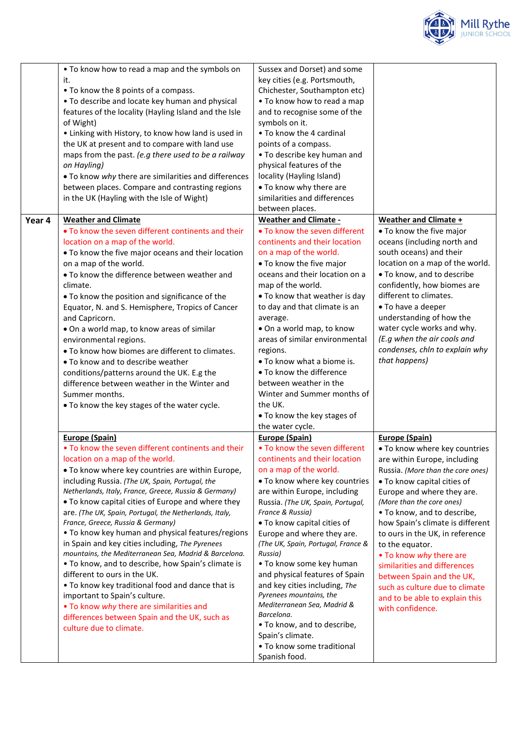

|        | • To know how to read a map and the symbols on<br>it.<br>• To know the 8 points of a compass.<br>. To describe and locate key human and physical<br>features of the locality (Hayling Island and the Isle<br>of Wight)<br>• Linking with History, to know how land is used in<br>the UK at present and to compare with land use<br>maps from the past. (e.g there used to be a railway<br>on Hayling)<br>. To know why there are similarities and differences<br>between places. Compare and contrasting regions<br>in the UK (Hayling with the Isle of Wight)                                                                                                                                                                                                                                                                                                                                  | Sussex and Dorset) and some<br>key cities (e.g. Portsmouth,<br>Chichester, Southampton etc)<br>. To know how to read a map<br>and to recognise some of the<br>symbols on it.<br>• To know the 4 cardinal<br>points of a compass.<br>. To describe key human and<br>physical features of the<br>locality (Hayling Island)<br>. To know why there are<br>similarities and differences<br>between places.                                                                                                                                                                                                                             |                                                                                                                                                                                                                                                                                                                                                                                                                                                                                                                                |
|--------|-------------------------------------------------------------------------------------------------------------------------------------------------------------------------------------------------------------------------------------------------------------------------------------------------------------------------------------------------------------------------------------------------------------------------------------------------------------------------------------------------------------------------------------------------------------------------------------------------------------------------------------------------------------------------------------------------------------------------------------------------------------------------------------------------------------------------------------------------------------------------------------------------|------------------------------------------------------------------------------------------------------------------------------------------------------------------------------------------------------------------------------------------------------------------------------------------------------------------------------------------------------------------------------------------------------------------------------------------------------------------------------------------------------------------------------------------------------------------------------------------------------------------------------------|--------------------------------------------------------------------------------------------------------------------------------------------------------------------------------------------------------------------------------------------------------------------------------------------------------------------------------------------------------------------------------------------------------------------------------------------------------------------------------------------------------------------------------|
| Year 4 | <b>Weather and Climate</b><br>• To know the seven different continents and their<br>location on a map of the world.<br>. To know the five major oceans and their location<br>on a map of the world.<br>. To know the difference between weather and<br>climate.<br>. To know the position and significance of the<br>Equator, N. and S. Hemisphere, Tropics of Cancer<br>and Capricorn.<br>. On a world map, to know areas of similar<br>environmental regions.<br>. To know how biomes are different to climates.<br>• To know and to describe weather<br>conditions/patterns around the UK. E.g the<br>difference between weather in the Winter and<br>Summer months.<br>• To know the key stages of the water cycle.                                                                                                                                                                         | <b>Weather and Climate -</b><br>• To know the seven different<br>continents and their location<br>on a map of the world.<br>. To know the five major<br>oceans and their location on a<br>map of the world.<br>. To know that weather is day<br>to day and that climate is an<br>average.<br>. On a world map, to know<br>areas of similar environmental<br>regions.<br>• To know what a biome is.<br>• To know the difference<br>between weather in the<br>Winter and Summer months of<br>the UK.<br>. To know the key stages of<br>the water cycle.                                                                              | <b>Weather and Climate +</b><br>• To know the five major<br>oceans (including north and<br>south oceans) and their<br>location on a map of the world.<br>. To know, and to describe<br>confidently, how biomes are<br>different to climates.<br>• To have a deeper<br>understanding of how the<br>water cycle works and why.<br>(E.g when the air cools and<br>condenses, chln to explain why<br>that happens)                                                                                                                 |
|        | Europe (Spain)<br>. To know the seven different continents and their<br>location on a map of the world.<br>. To know where key countries are within Europe,<br>including Russia. (The UK, Spain, Portugal, the<br>Netherlands, Italy, France, Greece, Russia & Germany)<br>. To know capital cities of Europe and where they<br>are. (The UK, Spain, Portugal, the Netherlands, Italy,<br>France, Greece, Russia & Germany)<br>. To know key human and physical features/regions<br>in Spain and key cities including, The Pyrenees<br>mountains, the Mediterranean Sea, Madrid & Barcelona.<br>. To know, and to describe, how Spain's climate is<br>different to ours in the UK.<br>. To know key traditional food and dance that is<br>important to Spain's culture.<br>. To know why there are similarities and<br>differences between Spain and the UK, such as<br>culture due to climate. | <b>Europe (Spain)</b><br>• To know the seven different<br>continents and their location<br>on a map of the world.<br>. To know where key countries<br>are within Europe, including<br>Russia. (The UK, Spain, Portugal,<br>France & Russia)<br>. To know capital cities of<br>Europe and where they are.<br>(The UK, Spain, Portugal, France &<br>Russia)<br>• To know some key human<br>and physical features of Spain<br>and key cities including, The<br>Pyrenees mountains, the<br>Mediterranean Sea, Madrid &<br>Barcelona.<br>• To know, and to describe,<br>Spain's climate.<br>• To know some traditional<br>Spanish food. | <b>Europe (Spain)</b><br>. To know where key countries<br>are within Europe, including<br>Russia. (More than the core ones)<br>. To know capital cities of<br>Europe and where they are.<br>(More than the core ones)<br>• To know, and to describe,<br>how Spain's climate is different<br>to ours in the UK, in reference<br>to the equator.<br>• To know why there are<br>similarities and differences<br>between Spain and the UK,<br>such as culture due to climate<br>and to be able to explain this<br>with confidence. |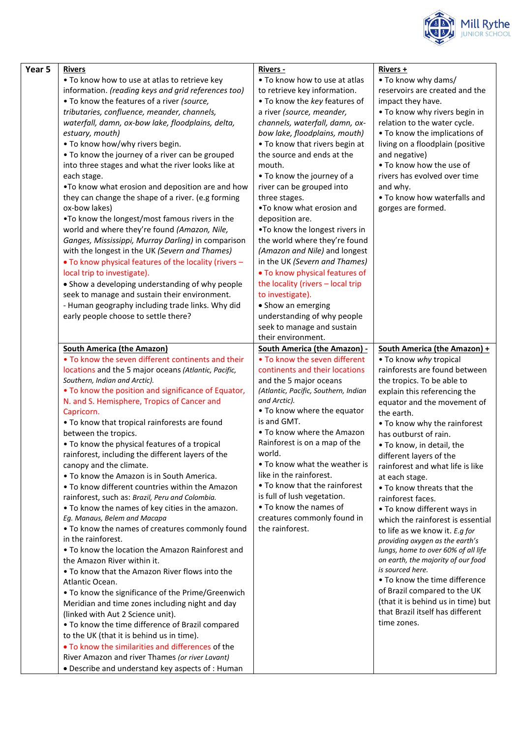

| Year 5 | <b>Rivers</b>                                                                                        | <b>Rivers -</b>                                                | Rivers +                                                          |
|--------|------------------------------------------------------------------------------------------------------|----------------------------------------------------------------|-------------------------------------------------------------------|
|        | . To know how to use at atlas to retrieve key                                                        | . To know how to use at atlas                                  | • To know why dams/                                               |
|        | information. (reading keys and grid references too)                                                  | to retrieve key information.                                   | reservoirs are created and the                                    |
|        | . To know the features of a river (source,                                                           | . To know the key features of                                  | impact they have.                                                 |
|        | tributaries, confluence, meander, channels,                                                          | a river (source, meander,                                      | . To know why rivers begin in                                     |
|        | waterfall, damn, ox-bow lake, floodplains, delta,                                                    | channels, waterfall, damn, ox-                                 | relation to the water cycle.                                      |
|        | estuary, mouth)                                                                                      | bow lake, floodplains, mouth)                                  | • To know the implications of                                     |
|        | . To know how/why rivers begin.                                                                      | • To know that rivers begin at                                 | living on a floodplain (positive                                  |
|        | . To know the journey of a river can be grouped                                                      | the source and ends at the                                     | and negative)                                                     |
|        | into three stages and what the river looks like at                                                   | mouth.                                                         | . To know how the use of                                          |
|        | each stage.                                                                                          | • To know the journey of a                                     | rivers has evolved over time                                      |
|        | . To know what erosion and deposition are and how                                                    | river can be grouped into                                      | and why.                                                          |
|        | they can change the shape of a river. (e.g forming                                                   | three stages.                                                  | • To know how waterfalls and                                      |
|        | ox-bow lakes)                                                                                        | . To know what erosion and                                     | gorges are formed.                                                |
|        | .To know the longest/most famous rivers in the                                                       | deposition are.                                                |                                                                   |
|        | world and where they're found (Amazon, Nile,                                                         | .To know the longest rivers in                                 |                                                                   |
|        | Ganges, Mississippi, Murray Darling) in comparison<br>with the longest in the UK (Severn and Thames) | the world where they're found<br>(Amazon and Nile) and longest |                                                                   |
|        | . To know physical features of the locality (rivers -                                                | in the UK (Severn and Thames)                                  |                                                                   |
|        | local trip to investigate).                                                                          | . To know physical features of                                 |                                                                   |
|        | • Show a developing understanding of why people                                                      | the locality (rivers - local trip                              |                                                                   |
|        | seek to manage and sustain their environment.                                                        | to investigate).                                               |                                                                   |
|        | - Human geography including trade links. Why did                                                     | • Show an emerging                                             |                                                                   |
|        | early people choose to settle there?                                                                 | understanding of why people                                    |                                                                   |
|        |                                                                                                      | seek to manage and sustain                                     |                                                                   |
|        |                                                                                                      | their environment.                                             |                                                                   |
|        | <b>South America (the Amazon)</b>                                                                    | <b>South America (the Amazon) -</b>                            | <b>South America (the Amazon) +</b>                               |
|        | . To know the seven different continents and their                                                   | • To know the seven different                                  | • To know why tropical                                            |
|        | locations and the 5 major oceans (Atlantic, Pacific,                                                 | continents and their locations                                 | rainforests are found between                                     |
|        | Southern, Indian and Arctic).                                                                        | and the 5 major oceans                                         | the tropics. To be able to                                        |
|        | . To know the position and significance of Equator,                                                  | (Atlantic, Pacific, Southern, Indian                           | explain this referencing the                                      |
|        | N. and S. Hemisphere, Tropics of Cancer and                                                          | and Arctic).                                                   | equator and the movement of                                       |
|        | Capricorn.                                                                                           | • To know where the equator                                    | the earth.                                                        |
|        | . To know that tropical rainforests are found                                                        | is and GMT.                                                    | • To know why the rainforest                                      |
|        | between the tropics.                                                                                 | • To know where the Amazon                                     | has outburst of rain.                                             |
|        | • To know the physical features of a tropical                                                        | Rainforest is on a map of the                                  | • To know, in detail, the                                         |
|        | rainforest, including the different layers of the                                                    | world.                                                         | different layers of the                                           |
|        | canopy and the climate.                                                                              | • To know what the weather is                                  | rainforest and what life is like                                  |
|        | • To know the Amazon is in South America.                                                            | like in the rainforest.                                        | at each stage.                                                    |
|        | • To know different countries within the Amazon                                                      | • To know that the rainforest                                  | . To know threats that the                                        |
|        | rainforest, such as: Brazil, Peru and Colombia.                                                      | is full of lush vegetation.<br>• To know the names of          | rainforest faces.                                                 |
|        | . To know the names of key cities in the amazon.<br>Eg. Manaus, Belem and Macapa                     | creatures commonly found in                                    | • To know different ways in                                       |
|        | . To know the names of creatures commonly found                                                      | the rainforest.                                                | which the rainforest is essential                                 |
|        | in the rainforest.                                                                                   |                                                                | to life as we know it. E.g for<br>providing oxygen as the earth's |
|        | • To know the location the Amazon Rainforest and                                                     |                                                                | lungs, home to over 60% of all life                               |
|        | the Amazon River within it.                                                                          |                                                                | on earth, the majority of our food                                |
|        | • To know that the Amazon River flows into the                                                       |                                                                | is sourced here.                                                  |
|        | Atlantic Ocean.                                                                                      |                                                                | • To know the time difference                                     |
|        | . To know the significance of the Prime/Greenwich                                                    |                                                                | of Brazil compared to the UK                                      |
|        | Meridian and time zones including night and day                                                      |                                                                | (that it is behind us in time) but                                |
|        | (linked with Aut 2 Science unit).                                                                    |                                                                | that Brazil itself has different                                  |
|        | . To know the time difference of Brazil compared                                                     |                                                                | time zones.                                                       |
|        | to the UK (that it is behind us in time).                                                            |                                                                |                                                                   |
|        | . To know the similarities and differences of the                                                    |                                                                |                                                                   |
|        | River Amazon and river Thames (or river Lavant)                                                      |                                                                |                                                                   |
|        | • Describe and understand key aspects of : Human                                                     |                                                                |                                                                   |